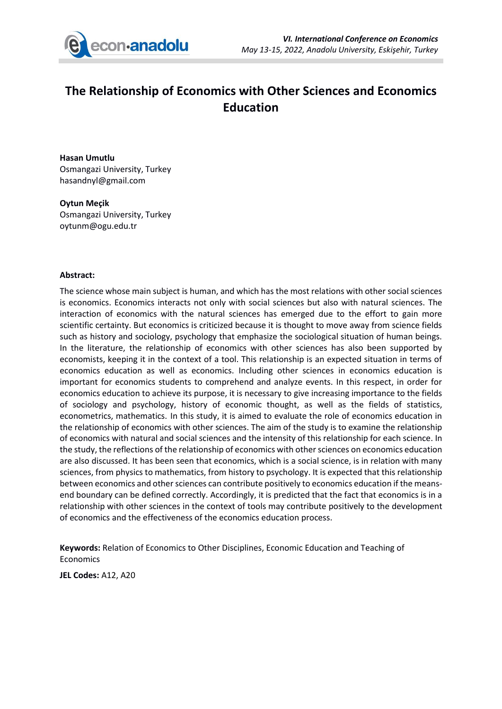

## **The Relationship of Economics with Other Sciences and Economics Education**

**Hasan Umutlu** Osmangazi University, Turkey hasandnyl@gmail.com

**Oytun Meçik** Osmangazi University, Turkey oytunm@ogu.edu.tr

## **Abstract:**

The science whose main subject is human, and which has the most relations with other social sciences is economics. Economics interacts not only with social sciences but also with natural sciences. The interaction of economics with the natural sciences has emerged due to the effort to gain more scientific certainty. But economics is criticized because it is thought to move away from science fields such as history and sociology, psychology that emphasize the sociological situation of human beings. In the literature, the relationship of economics with other sciences has also been supported by economists, keeping it in the context of a tool. This relationship is an expected situation in terms of economics education as well as economics. Including other sciences in economics education is important for economics students to comprehend and analyze events. In this respect, in order for economics education to achieve its purpose, it is necessary to give increasing importance to the fields of sociology and psychology, history of economic thought, as well as the fields of statistics, econometrics, mathematics. In this study, it is aimed to evaluate the role of economics education in the relationship of economics with other sciences. The aim of the study is to examine the relationship of economics with natural and social sciences and the intensity of this relationship for each science. In the study, the reflections of the relationship of economics with other sciences on economics education are also discussed. It has been seen that economics, which is a social science, is in relation with many sciences, from physics to mathematics, from history to psychology. It is expected that this relationship between economics and other sciences can contribute positively to economics education if the meansend boundary can be defined correctly. Accordingly, it is predicted that the fact that economics is in a relationship with other sciences in the context of tools may contribute positively to the development of economics and the effectiveness of the economics education process.

**Keywords:** Relation of Economics to Other Disciplines, Economic Education and Teaching of **Economics** 

**JEL Codes:** A12, A20